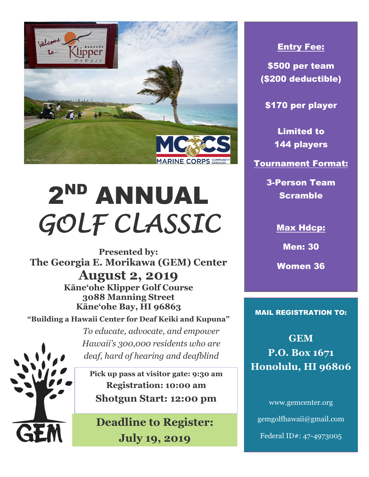

## 2ND ANNUAL *GOLF CLASSIC*

**Presented by: The Georgia E. Morikawa (GEM) Center August 2, 2019 Kāne'ohe Klipper Golf Course 3088 Manning Street Kāne'ohe Bay, HI 96863**

**"Building a Hawaii Center for Deaf Keiki and Kupuna"**



**Pick up pass at visitor gate: 9:30 am Registration: 10:00 am Shotgun Start: 12:00 pm**

*To educate, advocate, and empower* 

*Hawaii's 300,000 residents who are deaf, hard of hearing and deafblind* 

**Deadline to Register: July 19, 2019**

## Entry Fee:

\$500 per team (\$200 deductible)

\$170 per player

Limited to 144 players

Tournament Format:

3-Person Team Scramble

Max Hdcp:

Men: 30

Women 36

MAIL REGISTRATION TO:

**GEM P.O. Box 1671 Honolulu, HI 96806**

www.gemcenter.org gemgolfhawaii@gmail.com Federal ID#: 47-4973005